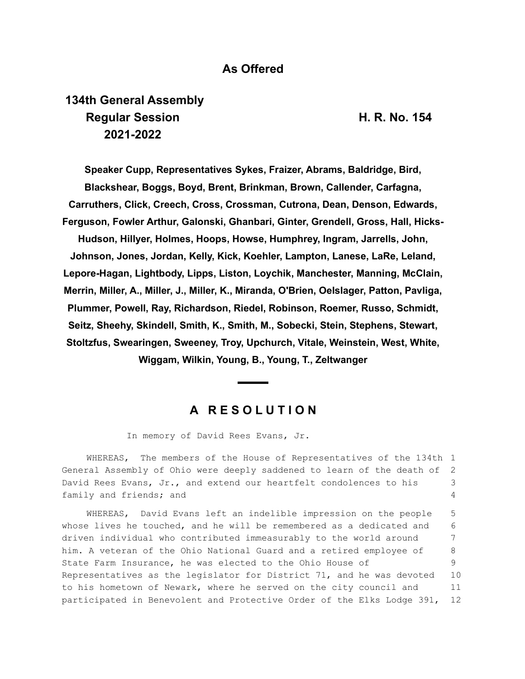## **As Offered**

## **134th General Assembly Regular Session H. R. No. 154 2021-2022**

**Speaker Cupp, Representatives Sykes, Fraizer, Abrams, Baldridge, Bird, Blackshear, Boggs, Boyd, Brent, Brinkman, Brown, Callender, Carfagna, Carruthers, Click, Creech, Cross, Crossman, Cutrona, Dean, Denson, Edwards, Ferguson, Fowler Arthur, Galonski, Ghanbari, Ginter, Grendell, Gross, Hall, Hicks-Hudson, Hillyer, Holmes, Hoops, Howse, Humphrey, Ingram, Jarrells, John, Johnson, Jones, Jordan, Kelly, Kick, Koehler, Lampton, Lanese, LaRe, Leland, Lepore-Hagan, Lightbody, Lipps, Liston, Loychik, Manchester, Manning, McClain, Merrin, Miller, A., Miller, J., Miller, K., Miranda, O'Brien, Oelslager, Patton, Pavliga, Plummer, Powell, Ray, Richardson, Riedel, Robinson, Roemer, Russo, Schmidt, Seitz, Sheehy, Skindell, Smith, K., Smith, M., Sobecki, Stein, Stephens, Stewart, Stoltzfus, Swearingen, Sweeney, Troy, Upchurch, Vitale, Weinstein, West, White, Wiggam, Wilkin, Young, B., Young, T., Zeltwanger**

## **A R E S O L U T I O N**

In memory of David Rees Evans, Jr.

WHEREAS, The members of the House of Representatives of the 134th 1 General Assembly of Ohio were deeply saddened to learn of the death of David Rees Evans, Jr., and extend our heartfelt condolences to his family and friends; and 2 3 4

WHEREAS, David Evans left an indelible impression on the people whose lives he touched, and he will be remembered as a dedicated and driven individual who contributed immeasurably to the world around him. A veteran of the Ohio National Guard and a retired employee of State Farm Insurance, he was elected to the Ohio House of Representatives as the legislator for District 71, and he was devoted to his hometown of Newark, where he served on the city council and participated in Benevolent and Protective Order of the Elks Lodge 391, 5 6 7 8 9 10 11 12